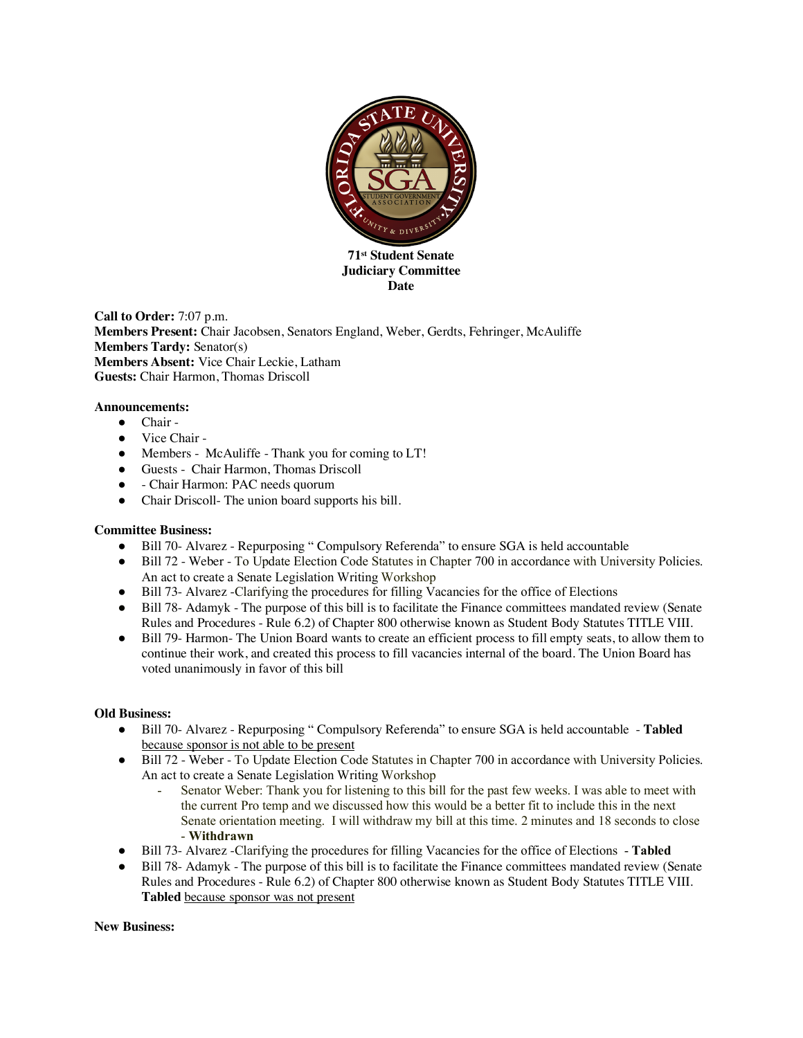

**Date** 

**Call to Order:** 7:07 p.m. **Members Present:** Chair Jacobsen, Senators England, Weber, Gerdts, Fehringer, McAuliffe **Members Tardy:** Senator(s) **Members Absent:** Vice Chair Leckie, Latham **Guests:** Chair Harmon, Thomas Driscoll

## **Announcements:**

- Chair -
- Vice Chair -
- Members McAuliffe Thank you for coming to LT!
- Guests Chair Harmon, Thomas Driscoll
- Chair Harmon: PAC needs quorum
- Chair Driscoll- The union board supports his bill.

## **Committee Business:**

- Bill 70- Alvarez Repurposing " Compulsory Referenda" to ensure SGA is held accountable
- Bill 72 Weber To Update Election Code Statutes in Chapter 700 in accordance with University Policies. An act to create a Senate Legislation Writing Workshop
- Bill 73- Alvarez -Clarifying the procedures for filling Vacancies for the office of Elections
- Bill 78- Adamyk The purpose of this bill is to facilitate the Finance committees mandated review (Senate Rules and Procedures - Rule 6.2) of Chapter 800 otherwise known as Student Body Statutes TITLE VIII.
- Bill 79- Harmon- The Union Board wants to create an efficient process to fill empty seats, to allow them to continue their work, and created this process to fill vacancies internal of the board. The Union Board has voted unanimously in favor of this bill

## **Old Business:**

- Bill 70- Alvarez Repurposing " Compulsory Referenda" to ensure SGA is held accountable **Tabled**  because sponsor is not able to be present
- Bill 72 Weber To Update Election Code Statutes in Chapter 700 in accordance with University Policies. An act to create a Senate Legislation Writing Workshop
	- Senator Weber: Thank you for listening to this bill for the past few weeks. I was able to meet with the current Pro temp and we discussed how this would be a better fit to include this in the next Senate orientation meeting. I will withdraw my bill at this time. 2 minutes and 18 seconds to close - **Withdrawn**
- Bill 73- Alvarez -Clarifying the procedures for filling Vacancies for the office of Elections **Tabled**
- Bill 78- Adamyk The purpose of this bill is to facilitate the Finance committees mandated review (Senate Rules and Procedures - Rule 6.2) of Chapter 800 otherwise known as Student Body Statutes TITLE VIII. **Tabled** because sponsor was not present

**New Business:**